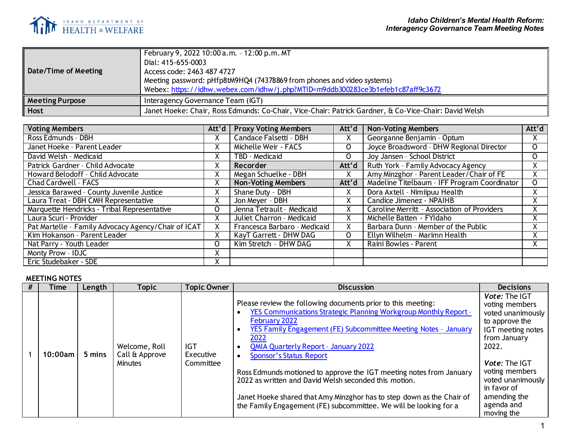

| Date/Time of Meeting   | February 9, 2022 10:00 a.m. - 12:00 p.m. MT<br>Dial: 415-655-0003<br>Access code: 2463 487 4727<br>Meeting password: pHfp8tM9HQ4 (74378869 from phones and video systems)<br>Webex: https://idhw.webex.com/idhw/j.php?MTID=m9ddb300283ce3b1efeb1c87aff9c3672 |
|------------------------|--------------------------------------------------------------------------------------------------------------------------------------------------------------------------------------------------------------------------------------------------------------|
| <b>Meeting Purpose</b> | Interagency Governance Team (IGT)                                                                                                                                                                                                                            |
| <b>Host</b>            | Janet Hoeke: Chair, Ross Edmunds: Co-Chair, Vice-Chair: Patrick Gardner, & Co-Vice-Chair: David Welsh                                                                                                                                                        |

| <b>Voting Members</b>                               | Att'd     | <b>Proxy Voting Members</b>  | Att'd   | <b>Non-Voting Members</b>                    | Att'd        |
|-----------------------------------------------------|-----------|------------------------------|---------|----------------------------------------------|--------------|
| Ross Edmunds - DBH                                  | v         | Candace Falsetti - DBH       | Χ       | Georganne Benjamin - Optum                   | Χ.           |
| Janet Hoeke - Parent Leader                         | X         | Michelle Weir - FACS         | 0       | Joyce Broadsword - DHW Regional Director     | 0            |
| David Welsh - Medicaid                              |           | TBD - Medicaid               | 0       | Joy Jansen - School District                 | $\mathsf{O}$ |
| Patrick Gardner - Child Advocate                    | $\lambda$ | Recorder                     | Att'd   | Ruth York - Family Advocacy Agency           | Χ.           |
| Howard Belodoff - Child Advocate                    | X         | Megan Schuelke - DBH         | x       | Amy Minzghor - Parent Leader/Chair of FE     | X.           |
| Chad Cardwell - FACS                                |           | <b>Non-Voting Members</b>    | Att'd   | Madeline Titelbaum - IFF Program Coordinator | 0            |
| Jessica Barawed - County Juvenile Justice           |           | Shane Duty - DBH             | Χ       | Dora Axtell - Nimiipuu Health                | Χ.           |
| Laura Treat - DBH CMH Representative                | X         | Jon Meyer - DBH              | Χ       | Candice Jimenez - NPAIHB                     | Χ.           |
| Marquette Hendricks - Tribal Representative         | 0         | Jenna Tetrault - Medicaid    | x       | Caroline Merritt - Association of Providers  | X.           |
| Laura Scuri - Provider                              |           | Juliet Charron - Medicaid    | Χ       | Michelle Batten - FYIdaho                    | Χ.           |
| Pat Martelle - Family Advocacy Agency/Chair of ICAT |           | Francesca Barbaro - Medicaid | x       | Barbara Dunn - Member of the Public          | Χ.           |
| Kim Hokanson - Parent Leader                        |           | KayT Garrett - DHW DAG       | $\circ$ | Ellyn Wilhelm - Marimn Health                | Χ.           |
| Nat Parry - Youth Leader                            | 0         | Kim Stretch - DHW DAG        | Χ       | Raini Bowles - Parent                        | ^            |
| Monty Prow - IDJC                                   | ∧         |                              |         |                                              |              |
| Eric Studebaker - SDE                               |           |                              |         |                                              |              |

## **MEETING NOTES**

| Time    | Length | Topic                                             | <b>Topic Owner</b>                   | <b>Discussion</b>                                                                                                                                                                                                                                                                                                                                                                                                                                                                                                                                                                           | <b>Decisions</b>                                                                                                                                                                                                                                      |
|---------|--------|---------------------------------------------------|--------------------------------------|---------------------------------------------------------------------------------------------------------------------------------------------------------------------------------------------------------------------------------------------------------------------------------------------------------------------------------------------------------------------------------------------------------------------------------------------------------------------------------------------------------------------------------------------------------------------------------------------|-------------------------------------------------------------------------------------------------------------------------------------------------------------------------------------------------------------------------------------------------------|
| 10:00am | 5 mins | Welcome, Roll<br>Call & Approve<br><b>Minutes</b> | <b>IGT</b><br>Executive<br>Committee | Please review the following documents prior to this meeting:<br>YES Communications Strategic Planning Workgroup Monthly Report -<br>February 2022<br>YES Family Engagement (FE) Subcommittee Meeting Notes - January<br>2022<br><b>QMIA Quarterly Report - January 2022</b><br><b>Sponsor's Status Report</b><br>Ross Edmunds motioned to approve the IGT meeting notes from January<br>2022 as written and David Welsh seconded this motion.<br>Janet Hoeke shared that Amy Minzghor has to step down as the Chair of<br>the Family Engagement (FE) subcommittee. We will be looking for a | <b>Vote: The IGT</b><br>voting members<br>voted unanimously<br>to approve the<br>IGT meeting notes<br>from January<br>2022.<br><b>Vote: The IGT</b><br>voting members<br>voted unanimously<br>in favor of<br>amending the<br>agenda and<br>moving the |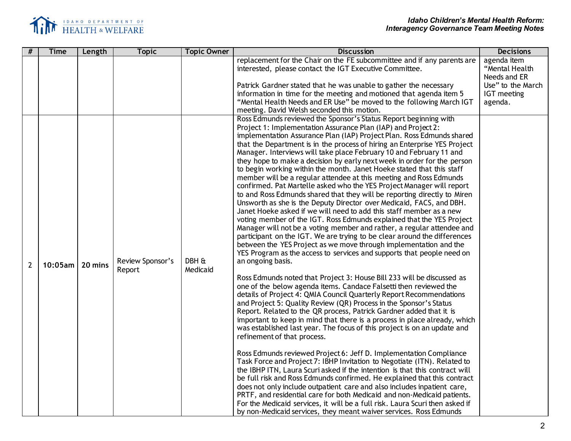

| #              | <b>Time</b>          | Length | <b>Topic</b>               | <b>Topic Owner</b> | <b>Discussion</b>                                                                                                                                                                                                                                                                                                                                                                                                                                                                                                                                                                                                                                                                                                                                                                                                                                                                                                                                                                                                                                                                                                                                                                                                                                                                                                                                                                                                                                                                                                                                                                                                                                                                                                                                                                                                                                                                                                                                                                                                                                                                                                                                                                                                                                                                                                                                                                                                                                                                   | <b>Decisions</b>                                                                             |
|----------------|----------------------|--------|----------------------------|--------------------|-------------------------------------------------------------------------------------------------------------------------------------------------------------------------------------------------------------------------------------------------------------------------------------------------------------------------------------------------------------------------------------------------------------------------------------------------------------------------------------------------------------------------------------------------------------------------------------------------------------------------------------------------------------------------------------------------------------------------------------------------------------------------------------------------------------------------------------------------------------------------------------------------------------------------------------------------------------------------------------------------------------------------------------------------------------------------------------------------------------------------------------------------------------------------------------------------------------------------------------------------------------------------------------------------------------------------------------------------------------------------------------------------------------------------------------------------------------------------------------------------------------------------------------------------------------------------------------------------------------------------------------------------------------------------------------------------------------------------------------------------------------------------------------------------------------------------------------------------------------------------------------------------------------------------------------------------------------------------------------------------------------------------------------------------------------------------------------------------------------------------------------------------------------------------------------------------------------------------------------------------------------------------------------------------------------------------------------------------------------------------------------------------------------------------------------------------------------------------------------|----------------------------------------------------------------------------------------------|
|                |                      |        |                            |                    | replacement for the Chair on the FE subcommittee and if any parents are<br>interested, please contact the IGT Executive Committee.<br>Patrick Gardner stated that he was unable to gather the necessary<br>information in time for the meeting and motioned that agenda item 5<br>"Mental Health Needs and ER Use" be moved to the following March IGT<br>meeting. David Welsh seconded this motion.                                                                                                                                                                                                                                                                                                                                                                                                                                                                                                                                                                                                                                                                                                                                                                                                                                                                                                                                                                                                                                                                                                                                                                                                                                                                                                                                                                                                                                                                                                                                                                                                                                                                                                                                                                                                                                                                                                                                                                                                                                                                                | agenda item<br>"Mental Health<br>Needs and ER<br>Use" to the March<br>IGT meeting<br>agenda. |
| $\overline{2}$ | $10:05$ am   20 mins |        | Review Sponsor's<br>Report | DBH &<br>Medicaid  | Ross Edmunds reviewed the Sponsor's Status Report beginning with<br>Project 1: Implementation Assurance Plan (IAP) and Project 2:<br>implementation Assurance Plan (IAP) Project Plan. Ross Edmunds shared<br>that the Department is in the process of hiring an Enterprise YES Project<br>Manager. Interviews will take place February 10 and February 11 and<br>they hope to make a decision by early next week in order for the person<br>to begin working within the month. Janet Hoeke stated that this staff<br>member will be a regular attendee at this meeting and Ross Edmunds<br>confirmed. Pat Martelle asked who the YES Project Manager will report<br>to and Ross Edmunds shared that they will be reporting directly to Miren<br>Unsworth as she is the Deputy Director over Medicaid, FACS, and DBH.<br>Janet Hoeke asked if we will need to add this staff member as a new<br>voting member of the IGT. Ross Edmunds explained that the YES Project<br>Manager will not be a voting member and rather, a regular attendee and<br>participant on the IGT. We are trying to be clear around the differences<br>between the YES Project as we move through implementation and the<br>YES Program as the access to services and supports that people need on<br>an ongoing basis.<br>Ross Edmunds noted that Project 3: House Bill 233 will be discussed as<br>one of the below agenda items. Candace Falsetti then reviewed the<br>details of Project 4: QMIA Council Quarterly Report Recommendations<br>and Project 5: Quality Review (QR) Process in the Sponsor's Status<br>Report. Related to the QR process, Patrick Gardner added that it is<br>important to keep in mind that there is a process in place already, which<br>was established last year. The focus of this project is on an update and<br>refinement of that process.<br>Ross Edmunds reviewed Project 6: Jeff D. Implementation Compliance<br>Task Force and Project 7: IBHP Invitation to Negotiate (ITN). Related to<br>the IBHP ITN, Laura Scuri asked if the intention is that this contract will<br>be full risk and Ross Edmunds confirmed. He explained that this contract<br>does not only include outpatient care and also includes inpatient care,<br>PRTF, and residential care for both Medicaid and non-Medicaid patients.<br>For the Medicaid services, it will be a full risk. Laura Scuri then asked if<br>by non-Medicaid services, they meant waiver services. Ross Edmunds |                                                                                              |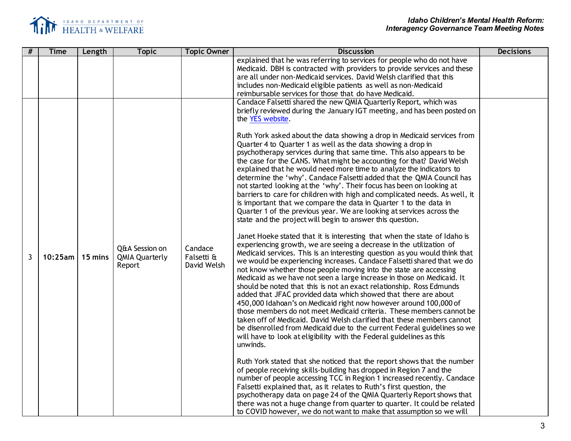

| #              | <b>Time</b>          | Length | <b>Topic</b>                                      | <b>Topic Owner</b>                   | <b>Discussion</b>                                                                                                                                                                                                                                                                                                                                                                                                                                                                                                                                                                                                                                                                                                                                                                                                                                                                                                                                                                                                                                                                                                                                                                                                                                                                                                                                                                                                                                                                                                                                                                                                                                                                                                                                                                                                                                                                                                                                                                                                                                                                                                                                                                                                                                                                                                                                                                                                                      | <b>Decisions</b> |
|----------------|----------------------|--------|---------------------------------------------------|--------------------------------------|----------------------------------------------------------------------------------------------------------------------------------------------------------------------------------------------------------------------------------------------------------------------------------------------------------------------------------------------------------------------------------------------------------------------------------------------------------------------------------------------------------------------------------------------------------------------------------------------------------------------------------------------------------------------------------------------------------------------------------------------------------------------------------------------------------------------------------------------------------------------------------------------------------------------------------------------------------------------------------------------------------------------------------------------------------------------------------------------------------------------------------------------------------------------------------------------------------------------------------------------------------------------------------------------------------------------------------------------------------------------------------------------------------------------------------------------------------------------------------------------------------------------------------------------------------------------------------------------------------------------------------------------------------------------------------------------------------------------------------------------------------------------------------------------------------------------------------------------------------------------------------------------------------------------------------------------------------------------------------------------------------------------------------------------------------------------------------------------------------------------------------------------------------------------------------------------------------------------------------------------------------------------------------------------------------------------------------------------------------------------------------------------------------------------------------------|------------------|
|                |                      |        |                                                   |                                      | explained that he was referring to services for people who do not have<br>Medicaid. DBH is contracted with providers to provide services and these<br>are all under non-Medicaid services. David Welsh clarified that this<br>includes non-Medicaid eligible patients as well as non-Medicaid<br>reimbursable services for those that do have Medicaid.<br>Candace Falsetti shared the new QMIA Quarterly Report, which was                                                                                                                                                                                                                                                                                                                                                                                                                                                                                                                                                                                                                                                                                                                                                                                                                                                                                                                                                                                                                                                                                                                                                                                                                                                                                                                                                                                                                                                                                                                                                                                                                                                                                                                                                                                                                                                                                                                                                                                                            |                  |
| $\overline{3}$ | $10:25$ am   15 mins |        | Q&A Session on<br><b>QMIA Quarterly</b><br>Report | Candace<br>Falsetti &<br>David Welsh | briefly reviewed during the January IGT meeting, and has been posted on<br>the YES website.<br>Ruth York asked about the data showing a drop in Medicaid services from<br>Quarter 4 to Quarter 1 as well as the data showing a drop in<br>psychotherapy services during that same time. This also appears to be<br>the case for the CANS. What might be accounting for that? David Welsh<br>explained that he would need more time to analyze the indicators to<br>determine the 'why'. Candace Falsetti added that the QMIA Council has<br>not started looking at the 'why'. Their focus has been on looking at<br>barriers to care for children with high and complicated needs. As well, it<br>is important that we compare the data in Quarter 1 to the data in<br>Quarter 1 of the previous year. We are looking at services across the<br>state and the project will begin to answer this question.<br>Janet Hoeke stated that it is interesting that when the state of Idaho is<br>experiencing growth, we are seeing a decrease in the utilization of<br>Medicaid services. This is an interesting question as you would think that<br>we would be experiencing increases. Candace Falsetti shared that we do<br>not know whether those people moving into the state are accessing<br>Medicaid as we have not seen a large increase in those on Medicaid. It<br>should be noted that this is not an exact relationship. Ross Edmunds<br>added that JFAC provided data which showed that there are about<br>450,000 Idahoan's on Medicaid right now however around 100,000 of<br>those members do not meet Medicaid criteria. These members cannot be<br>taken off of Medicaid. David Welsh clarified that these members cannot<br>be disenrolled from Medicaid due to the current Federal guidelines so we<br>will have to look at eligibility with the Federal guidelines as this<br>unwinds.<br>Ruth York stated that she noticed that the report shows that the number<br>of people receiving skills-building has dropped in Region 7 and the<br>number of people accessing TCC in Region 1 increased recently. Candace<br>Falsetti explained that, as it relates to Ruth's first question, the<br>psychotherapy data on page 24 of the QMIA Quarterly Report shows that<br>there was not a huge change from quarter to quarter. It could be related<br>to COVID however, we do not want to make that assumption so we will |                  |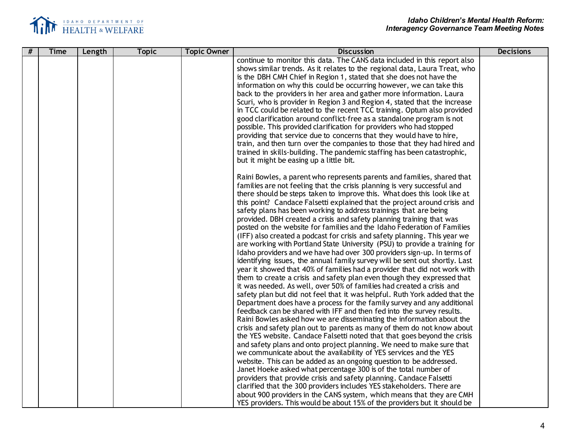

| continue to monitor this data. The CANS data included in this report also<br>shows similar trends. As it relates to the regional data, Laura Treat, who<br>is the DBH CMH Chief in Region 1, stated that she does not have the<br>information on why this could be occurring however, we can take this<br>back to the providers in her area and gather more information. Laura<br>Scuri, who is provider in Region 3 and Region 4, stated that the increase<br>in TCC could be related to the recent TCC training. Optum also provided<br>good clarification around conflict-free as a standalone program is not<br>possible. This provided clarification for providers who had stopped |
|-----------------------------------------------------------------------------------------------------------------------------------------------------------------------------------------------------------------------------------------------------------------------------------------------------------------------------------------------------------------------------------------------------------------------------------------------------------------------------------------------------------------------------------------------------------------------------------------------------------------------------------------------------------------------------------------|
|                                                                                                                                                                                                                                                                                                                                                                                                                                                                                                                                                                                                                                                                                         |
|                                                                                                                                                                                                                                                                                                                                                                                                                                                                                                                                                                                                                                                                                         |
|                                                                                                                                                                                                                                                                                                                                                                                                                                                                                                                                                                                                                                                                                         |
|                                                                                                                                                                                                                                                                                                                                                                                                                                                                                                                                                                                                                                                                                         |
|                                                                                                                                                                                                                                                                                                                                                                                                                                                                                                                                                                                                                                                                                         |
|                                                                                                                                                                                                                                                                                                                                                                                                                                                                                                                                                                                                                                                                                         |
|                                                                                                                                                                                                                                                                                                                                                                                                                                                                                                                                                                                                                                                                                         |
|                                                                                                                                                                                                                                                                                                                                                                                                                                                                                                                                                                                                                                                                                         |
|                                                                                                                                                                                                                                                                                                                                                                                                                                                                                                                                                                                                                                                                                         |
| providing that service due to concerns that they would have to hire,                                                                                                                                                                                                                                                                                                                                                                                                                                                                                                                                                                                                                    |
| train, and then turn over the companies to those that they had hired and                                                                                                                                                                                                                                                                                                                                                                                                                                                                                                                                                                                                                |
| trained in skills-building. The pandemic staffing has been catastrophic,                                                                                                                                                                                                                                                                                                                                                                                                                                                                                                                                                                                                                |
|                                                                                                                                                                                                                                                                                                                                                                                                                                                                                                                                                                                                                                                                                         |
|                                                                                                                                                                                                                                                                                                                                                                                                                                                                                                                                                                                                                                                                                         |
| Raini Bowles, a parent who represents parents and families, shared that                                                                                                                                                                                                                                                                                                                                                                                                                                                                                                                                                                                                                 |
| families are not feeling that the crisis planning is very successful and                                                                                                                                                                                                                                                                                                                                                                                                                                                                                                                                                                                                                |
| there should be steps taken to improve this. What does this look like at                                                                                                                                                                                                                                                                                                                                                                                                                                                                                                                                                                                                                |
| this point? Candace Falsetti explained that the project around crisis and                                                                                                                                                                                                                                                                                                                                                                                                                                                                                                                                                                                                               |
|                                                                                                                                                                                                                                                                                                                                                                                                                                                                                                                                                                                                                                                                                         |
| provided. DBH created a crisis and safety planning training that was                                                                                                                                                                                                                                                                                                                                                                                                                                                                                                                                                                                                                    |
| posted on the website for families and the Idaho Federation of Families                                                                                                                                                                                                                                                                                                                                                                                                                                                                                                                                                                                                                 |
| (IFF) also created a podcast for crisis and safety planning. This year we                                                                                                                                                                                                                                                                                                                                                                                                                                                                                                                                                                                                               |
| are working with Portland State University (PSU) to provide a training for                                                                                                                                                                                                                                                                                                                                                                                                                                                                                                                                                                                                              |
|                                                                                                                                                                                                                                                                                                                                                                                                                                                                                                                                                                                                                                                                                         |
| Idaho providers and we have had over 300 providers sign-up. In terms of                                                                                                                                                                                                                                                                                                                                                                                                                                                                                                                                                                                                                 |
| identifying issues, the annual family survey will be sent out shortly. Last                                                                                                                                                                                                                                                                                                                                                                                                                                                                                                                                                                                                             |
| year it showed that 40% of families had a provider that did not work with                                                                                                                                                                                                                                                                                                                                                                                                                                                                                                                                                                                                               |
| them to create a crisis and safety plan even though they expressed that                                                                                                                                                                                                                                                                                                                                                                                                                                                                                                                                                                                                                 |
| it was needed. As well, over 50% of families had created a crisis and                                                                                                                                                                                                                                                                                                                                                                                                                                                                                                                                                                                                                   |
| safety plan but did not feel that it was helpful. Ruth York added that the                                                                                                                                                                                                                                                                                                                                                                                                                                                                                                                                                                                                              |
| Department does have a process for the family survey and any additional                                                                                                                                                                                                                                                                                                                                                                                                                                                                                                                                                                                                                 |
| feedback can be shared with IFF and then fed into the survey results.                                                                                                                                                                                                                                                                                                                                                                                                                                                                                                                                                                                                                   |
| Raini Bowles asked how we are disseminating the information about the                                                                                                                                                                                                                                                                                                                                                                                                                                                                                                                                                                                                                   |
| crisis and safety plan out to parents as many of them do not know about                                                                                                                                                                                                                                                                                                                                                                                                                                                                                                                                                                                                                 |
| the YES website. Candace Falsetti noted that that goes beyond the crisis                                                                                                                                                                                                                                                                                                                                                                                                                                                                                                                                                                                                                |
| and safety plans and onto project planning. We need to make sure that                                                                                                                                                                                                                                                                                                                                                                                                                                                                                                                                                                                                                   |
| we communicate about the availability of YES services and the YES                                                                                                                                                                                                                                                                                                                                                                                                                                                                                                                                                                                                                       |
| website. This can be added as an ongoing question to be addressed.                                                                                                                                                                                                                                                                                                                                                                                                                                                                                                                                                                                                                      |
|                                                                                                                                                                                                                                                                                                                                                                                                                                                                                                                                                                                                                                                                                         |
|                                                                                                                                                                                                                                                                                                                                                                                                                                                                                                                                                                                                                                                                                         |
| clarified that the 300 providers includes YES stakeholders. There are                                                                                                                                                                                                                                                                                                                                                                                                                                                                                                                                                                                                                   |
| about 900 providers in the CANS system, which means that they are CMH                                                                                                                                                                                                                                                                                                                                                                                                                                                                                                                                                                                                                   |
| YES providers. This would be about 15% of the providers but it should be                                                                                                                                                                                                                                                                                                                                                                                                                                                                                                                                                                                                                |
| safety plans has been working to address trainings that are being<br>Janet Hoeke asked what percentage 300 is of the total number of<br>providers that provide crisis and safety planning. Candace Falsetti                                                                                                                                                                                                                                                                                                                                                                                                                                                                             |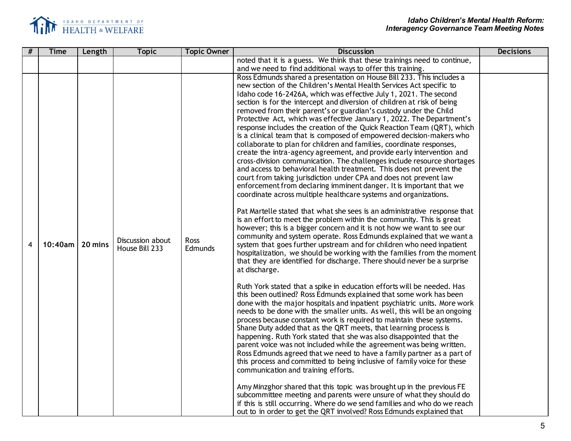

| noted that it is a guess. We think that these trainings need to continue,<br>and we need to find additional ways to offer this training.<br>Ross Edmunds shared a presentation on House Bill 233. This includes a<br>new section of the Children's Mental Health Services Act specific to<br>Idaho code 16-2426A, which was effective July 1, 2021. The second<br>section is for the intercept and diversion of children at risk of being<br>removed from their parent's or guardian's custody under the Child<br>Protective Act, which was effective January 1, 2022. The Department's<br>response includes the creation of the Quick Reaction Team (QRT), which<br>is a clinical team that is composed of empowered decision-makers who<br>collaborate to plan for children and families, coordinate responses,<br>create the intra-agency agreement, and provide early intervention and<br>cross-division communication. The challenges include resource shortages<br>and access to behavioral health treatment. This does not prevent the<br>court from taking jurisdiction under CPA and does not prevent law<br>enforcement from declaring imminent danger. It is important that we<br>coordinate across multiple healthcare systems and organizations.<br>Pat Martelle stated that what she sees is an administrative response that<br>is an effort to meet the problem within the community. This is great<br>however; this is a bigger concern and it is not how we want to see our<br>community and system operate. Ross Edmunds explained that we want a<br>Discussion about<br>Ross<br>20 mins<br>10:40am<br>system that goes further upstream and for children who need inpatient<br>4<br>House Bill 233<br>Edmunds<br>hospitalization, we should be working with the families from the moment<br>that they are identified for discharge. There should never be a surprise<br>at discharge.<br>Ruth York stated that a spike in education efforts will be needed. Has<br>this been outlined? Ross Edmunds explained that some work has been | # | <b>Topic Owner</b><br><b>Topic</b><br><b>Discussion</b><br><b>Time</b><br>Length |  | <b>Decisions</b> |
|----------------------------------------------------------------------------------------------------------------------------------------------------------------------------------------------------------------------------------------------------------------------------------------------------------------------------------------------------------------------------------------------------------------------------------------------------------------------------------------------------------------------------------------------------------------------------------------------------------------------------------------------------------------------------------------------------------------------------------------------------------------------------------------------------------------------------------------------------------------------------------------------------------------------------------------------------------------------------------------------------------------------------------------------------------------------------------------------------------------------------------------------------------------------------------------------------------------------------------------------------------------------------------------------------------------------------------------------------------------------------------------------------------------------------------------------------------------------------------------------------------------------------------------------------------------------------------------------------------------------------------------------------------------------------------------------------------------------------------------------------------------------------------------------------------------------------------------------------------------------------------------------------------------------------------------------------------------------------------------------------------------------------------------------------------|---|----------------------------------------------------------------------------------|--|------------------|
|                                                                                                                                                                                                                                                                                                                                                                                                                                                                                                                                                                                                                                                                                                                                                                                                                                                                                                                                                                                                                                                                                                                                                                                                                                                                                                                                                                                                                                                                                                                                                                                                                                                                                                                                                                                                                                                                                                                                                                                                                                                          |   |                                                                                  |  |                  |
|                                                                                                                                                                                                                                                                                                                                                                                                                                                                                                                                                                                                                                                                                                                                                                                                                                                                                                                                                                                                                                                                                                                                                                                                                                                                                                                                                                                                                                                                                                                                                                                                                                                                                                                                                                                                                                                                                                                                                                                                                                                          |   |                                                                                  |  |                  |
| done with the major hospitals and inpatient psychiatric units. More work<br>needs to be done with the smaller units. As well, this will be an ongoing<br>process because constant work is required to maintain these systems.<br>Shane Duty added that as the QRT meets, that learning process is<br>happening. Ruth York stated that she was also disappointed that the<br>parent voice was not included while the agreement was being written.<br>Ross Edmunds agreed that we need to have a family partner as a part of<br>this process and committed to being inclusive of family voice for these<br>communication and training efforts.<br>Amy Minzghor shared that this topic was brought up in the previous FE<br>subcommittee meeting and parents were unsure of what they should do                                                                                                                                                                                                                                                                                                                                                                                                                                                                                                                                                                                                                                                                                                                                                                                                                                                                                                                                                                                                                                                                                                                                                                                                                                                             |   |                                                                                  |  |                  |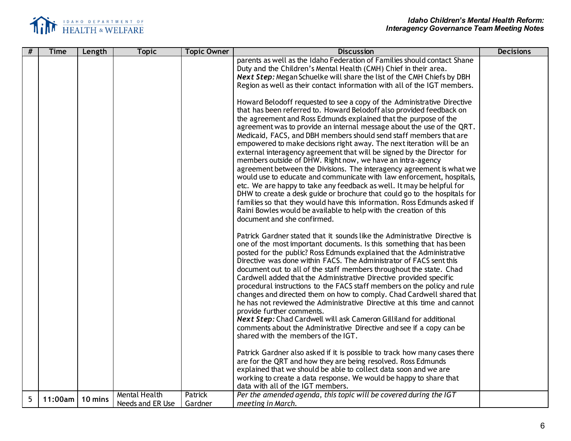

| # | <b>Time</b> | Length  | <b>Topic</b>         | <b>Topic Owner</b> | <b>Discussion</b>                                                                                                                                 | <b>Decisions</b> |
|---|-------------|---------|----------------------|--------------------|---------------------------------------------------------------------------------------------------------------------------------------------------|------------------|
|   |             |         |                      |                    | parents as well as the Idaho Federation of Families should contact Shane                                                                          |                  |
|   |             |         |                      |                    | Duty and the Children's Mental Health (CMH) Chief in their area.<br><b>Next Step:</b> Megan Schuelke will share the list of the CMH Chiefs by DBH |                  |
|   |             |         |                      |                    | Region as well as their contact information with all of the IGT members.                                                                          |                  |
|   |             |         |                      |                    |                                                                                                                                                   |                  |
|   |             |         |                      |                    | Howard Belodoff requested to see a copy of the Administrative Directive                                                                           |                  |
|   |             |         |                      |                    | that has been referred to. Howard Belodoff also provided feedback on                                                                              |                  |
|   |             |         |                      |                    | the agreement and Ross Edmunds explained that the purpose of the<br>agreement was to provide an internal message about the use of the QRT.        |                  |
|   |             |         |                      |                    | Medicaid, FACS, and DBH members should send staff members that are                                                                                |                  |
|   |             |         |                      |                    | empowered to make decisions right away. The next iteration will be an                                                                             |                  |
|   |             |         |                      |                    | external interagency agreement that will be signed by the Director for                                                                            |                  |
|   |             |         |                      |                    | members outside of DHW. Right now, we have an intra-agency                                                                                        |                  |
|   |             |         |                      |                    | agreement between the Divisions. The interagency agreement is what we                                                                             |                  |
|   |             |         |                      |                    | would use to educate and communicate with law enforcement, hospitals,<br>etc. We are happy to take any feedback as well. It may be helpful for    |                  |
|   |             |         |                      |                    | DHW to create a desk guide or brochure that could go to the hospitals for                                                                         |                  |
|   |             |         |                      |                    | families so that they would have this information. Ross Edmunds asked if                                                                          |                  |
|   |             |         |                      |                    | Raini Bowles would be available to help with the creation of this                                                                                 |                  |
|   |             |         |                      |                    | document and she confirmed.                                                                                                                       |                  |
|   |             |         |                      |                    | Patrick Gardner stated that it sounds like the Administrative Directive is                                                                        |                  |
|   |             |         |                      |                    | one of the most important documents. Is this something that has been                                                                              |                  |
|   |             |         |                      |                    | posted for the public? Ross Edmunds explained that the Administrative                                                                             |                  |
|   |             |         |                      |                    | Directive was done within FACS. The Administrator of FACS sent this<br>document out to all of the staff members throughout the state. Chad        |                  |
|   |             |         |                      |                    | Cardwell added that the Administrative Directive provided specific                                                                                |                  |
|   |             |         |                      |                    | procedural instructions to the FACS staff members on the policy and rule                                                                          |                  |
|   |             |         |                      |                    | changes and directed them on how to comply. Chad Cardwell shared that                                                                             |                  |
|   |             |         |                      |                    | he has not reviewed the Administrative Directive at this time and cannot                                                                          |                  |
|   |             |         |                      |                    | provide further comments.                                                                                                                         |                  |
|   |             |         |                      |                    | Next Step: Chad Cardwell will ask Cameron Gilliland for additional<br>comments about the Administrative Directive and see if a copy can be        |                  |
|   |             |         |                      |                    | shared with the members of the IGT.                                                                                                               |                  |
|   |             |         |                      |                    |                                                                                                                                                   |                  |
|   |             |         |                      |                    | Patrick Gardner also asked if it is possible to track how many cases there                                                                        |                  |
|   |             |         |                      |                    | are for the QRT and how they are being resolved. Ross Edmunds                                                                                     |                  |
|   |             |         |                      |                    | explained that we should be able to collect data soon and we are                                                                                  |                  |
|   |             |         |                      |                    | working to create a data response. We would be happy to share that<br>data with all of the IGT members.                                           |                  |
|   |             |         | <b>Mental Health</b> | Patrick            | Per the amended agenda, this topic will be covered during the IGT                                                                                 |                  |
| 5 | 11:00am     | 10 mins | Needs and ER Use     | Gardner            | meeting in March.                                                                                                                                 |                  |